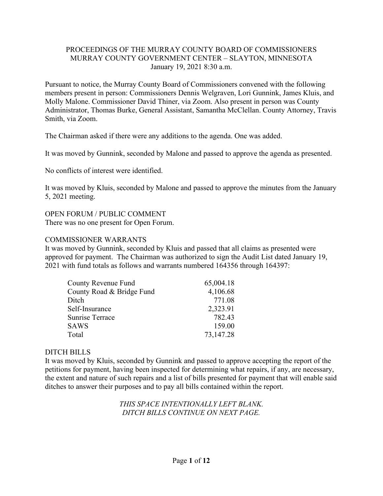### PROCEEDINGS OF THE MURRAY COUNTY BOARD OF COMMISSIONERS MURRAY COUNTY GOVERNMENT CENTER – SLAYTON, MINNESOTA January 19, 2021 8:30 a.m.

Pursuant to notice, the Murray County Board of Commissioners convened with the following members present in person: Commissioners Dennis Welgraven, Lori Gunnink, James Kluis, and Molly Malone. Commissioner David Thiner, via Zoom. Also present in person was County Administrator, Thomas Burke, General Assistant, Samantha McClellan. County Attorney, Travis Smith, via Zoom.

The Chairman asked if there were any additions to the agenda. One was added.

It was moved by Gunnink, seconded by Malone and passed to approve the agenda as presented.

No conflicts of interest were identified.

It was moved by Kluis, seconded by Malone and passed to approve the minutes from the January 5, 2021 meeting.

### OPEN FORUM / PUBLIC COMMENT

There was no one present for Open Forum.

#### COMMISSIONER WARRANTS

It was moved by Gunnink, seconded by Kluis and passed that all claims as presented were approved for payment. The Chairman was authorized to sign the Audit List dated January 19, 2021 with fund totals as follows and warrants numbered 164356 through 164397:

| <b>County Revenue Fund</b> | 65,004.18 |
|----------------------------|-----------|
| County Road & Bridge Fund  | 4,106.68  |
| Ditch                      | 771.08    |
| Self-Insurance             | 2,323.91  |
| <b>Sunrise Terrace</b>     | 782.43    |
| SAWS                       | 159.00    |
| Total                      | 73,147.28 |

#### DITCH BILLS

It was moved by Kluis, seconded by Gunnink and passed to approve accepting the report of the petitions for payment, having been inspected for determining what repairs, if any, are necessary, the extent and nature of such repairs and a list of bills presented for payment that will enable said ditches to answer their purposes and to pay all bills contained within the report.

> *THIS SPACE INTENTIONALLY LEFT BLANK. DITCH BILLS CONTINUE ON NEXT PAGE.*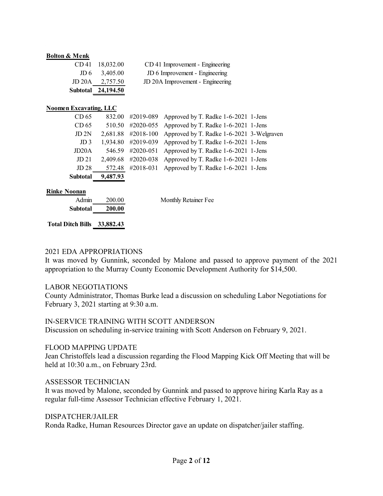#### **Bolton & Menk**

| CD 41 18,032.00     | CD 41 Improvement - Engineering  |
|---------------------|----------------------------------|
| $JD 6$ 3,405.00     | JD 6 Improvement - Engineering   |
| $JD 20A$ $2,757.50$ | JD 20A Improvement - Engineering |
| Subtotal 24,194.50  |                                  |

#### **Noomen Excavating, LLC**

| CD <sub>65</sub>   |          | 832.00 #2019-089 Approved by T. Radke 1-6-2021 1-Jens        |  |
|--------------------|----------|--------------------------------------------------------------|--|
| CD <sub>65</sub>   |          | 510.50 #2020-055 Approved by T. Radke 1-6-2021 1-Jens        |  |
| JD 2N              |          | 2,681.88 #2018-100 Approved by T. Radke 1-6-2021 3-Welgraven |  |
| JD <sub>3</sub>    |          | 1,934.80 #2019-039 Approved by T. Radke 1-6-2021 1-Jens      |  |
| JD <sub>20</sub> A |          | 546.59 #2020-051 Approved by T. Radke 1-6-2021 1-Jens        |  |
| JD 21              |          | 2,409.68 #2020-038 Approved by T. Radke 1-6-2021 1-Jens      |  |
| JD <sub>28</sub>   |          | 572.48 #2018-031 Approved by T. Radke 1-6-2021 1-Jens        |  |
| <b>Subtotal</b>    | 9,487.93 |                                                              |  |

#### **Rinke Noonan**

| Admin    | 200.00 |
|----------|--------|
| Subtotal | 200.00 |

Monthly Retainer Fee

### **Total Ditch Bills 33,882.43**

#### 2021 EDA APPROPRIATIONS

It was moved by Gunnink, seconded by Malone and passed to approve payment of the 2021 appropriation to the Murray County Economic Development Authority for \$14,500.

#### LABOR NEGOTIATIONS

County Administrator, Thomas Burke lead a discussion on scheduling Labor Negotiations for February 3, 2021 starting at 9:30 a.m.

#### IN-SERVICE TRAINING WITH SCOTT ANDERSON

Discussion on scheduling in-service training with Scott Anderson on February 9, 2021.

#### FLOOD MAPPING UPDATE

Jean Christoffels lead a discussion regarding the Flood Mapping Kick Off Meeting that will be held at 10:30 a.m., on February 23rd.

#### ASSESSOR TECHNICIAN

It was moved by Malone, seconded by Gunnink and passed to approve hiring Karla Ray as a regular full-time Assessor Technician effective February 1, 2021.

#### DISPATCHER/JAILER

Ronda Radke, Human Resources Director gave an update on dispatcher/jailer staffing.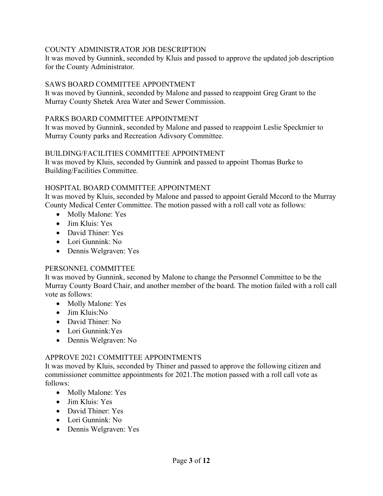## COUNTY ADMINISTRATOR JOB DESCRIPTION

It was moved by Gunnink, seconded by Kluis and passed to approve the updated job description for the County Administrator.

## SAWS BOARD COMMITTEE APPOINTMENT

It was moved by Gunnink, seconded by Malone and passed to reappoint Greg Grant to the Murray County Shetek Area Water and Sewer Commission.

### PARKS BOARD COMMITTEE APPOINTMENT

It was moved by Gunnink, seconded by Malone and passed to reappoint Leslie Speckmier to Murray County parks and Recreation Adivsory Committee.

## BUILDING/FACILITIES COMMITTEE APPOINTMENT

It was moved by Kluis, seconded by Gunnink and passed to appoint Thomas Burke to Building/Facilities Committee.

# HOSPITAL BOARD COMMITTEE APPOINTMENT

It was moved by Kluis, seconded by Malone and passed to appoint Gerald Mccord to the Murray County Medical Center Committee. The motion passed with a roll call vote as follows:

- Molly Malone: Yes
- Jim Kluis: Yes
- David Thiner: Yes
- Lori Gunnink: No
- Dennis Welgraven: Yes

## PERSONNEL COMMITTEE

It was moved by Gunnink, seconed by Malone to change the Personnel Committee to be the Murray County Board Chair, and another member of the board. The motion failed with a roll call vote as follows:

- Molly Malone: Yes
- Jim Kluis:No
- David Thiner: No
- Lori Gunnink:Yes
- Dennis Welgraven: No

## APPROVE 2021 COMMITTEE APPOINTMENTS

It was moved by Kluis, seconded by Thiner and passed to approve the following citizen and commissioner committee appointments for 2021.The motion passed with a roll call vote as follows:

- Molly Malone: Yes
- Jim Kluis: Yes
- David Thiner: Yes
- Lori Gunnink: No
- Dennis Welgraven: Yes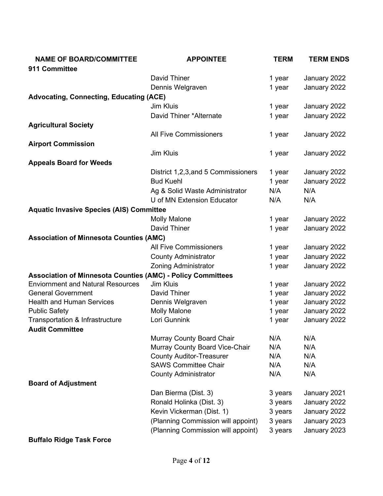| <b>NAME OF BOARD/COMMITTEE</b>                                     | <b>APPOINTEE</b>                    | <b>TERM</b> | <b>TERM ENDS</b> |
|--------------------------------------------------------------------|-------------------------------------|-------------|------------------|
| 911 Committee                                                      |                                     |             |                  |
|                                                                    | David Thiner                        | 1 year      | January 2022     |
|                                                                    | Dennis Welgraven                    | 1 year      | January 2022     |
| <b>Advocating, Connecting, Educating (ACE)</b>                     |                                     |             |                  |
|                                                                    | Jim Kluis                           | 1 year      | January 2022     |
|                                                                    | David Thiner *Alternate             | 1 year      | January 2022     |
| <b>Agricultural Society</b>                                        |                                     |             |                  |
|                                                                    | <b>All Five Commissioners</b>       | 1 year      | January 2022     |
| <b>Airport Commission</b>                                          |                                     |             |                  |
|                                                                    | Jim Kluis                           | 1 year      | January 2022     |
| <b>Appeals Board for Weeds</b>                                     |                                     |             |                  |
|                                                                    | District 1,2,3, and 5 Commissioners | 1 year      | January 2022     |
|                                                                    | <b>Bud Kuehl</b>                    | 1 year      | January 2022     |
|                                                                    | Ag & Solid Waste Administrator      | N/A         | N/A              |
|                                                                    | U of MN Extension Educator          | N/A         | N/A              |
| <b>Aquatic Invasive Species (AIS) Committee</b>                    |                                     |             |                  |
|                                                                    | <b>Molly Malone</b>                 | 1 year      | January 2022     |
|                                                                    | David Thiner                        | 1 year      | January 2022     |
| <b>Association of Minnesota Counties (AMC)</b>                     |                                     |             |                  |
|                                                                    | <b>All Five Commissioners</b>       | 1 year      | January 2022     |
|                                                                    | <b>County Administrator</b>         | 1 year      | January 2022     |
|                                                                    | <b>Zoning Administrator</b>         | 1 year      | January 2022     |
| <b>Association of Minnesota Counties (AMC) - Policy Committees</b> |                                     |             |                  |
| <b>Enviornment and Natural Resources</b>                           | <b>Jim Kluis</b>                    | 1 year      | January 2022     |
| <b>General Government</b>                                          | David Thiner                        | 1 year      | January 2022     |
| <b>Health and Human Services</b>                                   | Dennis Welgraven                    | 1 year      | January 2022     |
| <b>Public Safety</b>                                               | <b>Molly Malone</b>                 | 1 year      | January 2022     |
| <b>Transportation &amp; Infrastructure</b>                         | Lori Gunnink                        | 1 year      | January 2022     |
| <b>Audit Committee</b>                                             |                                     |             |                  |
|                                                                    | Murray County Board Chair           | N/A         | N/A              |
|                                                                    | Murray County Board Vice-Chair      | N/A         | N/A              |
|                                                                    | <b>County Auditor-Treasurer</b>     | N/A         | N/A              |
|                                                                    | <b>SAWS Committee Chair</b>         | N/A         | N/A              |
|                                                                    | <b>County Administrator</b>         | N/A         | N/A              |
| <b>Board of Adjustment</b>                                         |                                     |             |                  |
|                                                                    | Dan Bierma (Dist. 3)                | 3 years     | January 2021     |
|                                                                    | Ronald Holinka (Dist. 3)            | 3 years     | January 2022     |
|                                                                    | Kevin Vickerman (Dist. 1)           | 3 years     | January 2022     |
|                                                                    | (Planning Commission will appoint)  | 3 years     | January 2023     |
|                                                                    | (Planning Commission will appoint)  | 3 years     | January 2023     |
| <b>Buffalo Ridge Task Force</b>                                    |                                     |             |                  |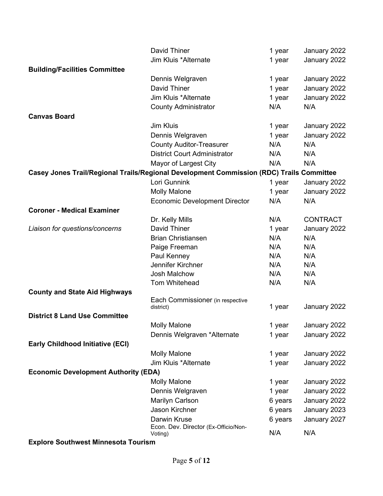|                                                                                          | David Thiner                                         | 1 year  | January 2022    |
|------------------------------------------------------------------------------------------|------------------------------------------------------|---------|-----------------|
|                                                                                          | Jim Kluis *Alternate                                 | 1 year  | January 2022    |
| <b>Building/Facilities Committee</b>                                                     |                                                      |         |                 |
|                                                                                          | Dennis Welgraven                                     | 1 year  | January 2022    |
|                                                                                          | David Thiner                                         | 1 year  | January 2022    |
|                                                                                          | Jim Kluis *Alternate                                 | 1 year  | January 2022    |
|                                                                                          | <b>County Administrator</b>                          | N/A     | N/A             |
| <b>Canvas Board</b>                                                                      |                                                      |         |                 |
|                                                                                          | Jim Kluis                                            | 1 year  | January 2022    |
|                                                                                          | Dennis Welgraven                                     | 1 year  | January 2022    |
|                                                                                          | <b>County Auditor-Treasurer</b>                      | N/A     | N/A             |
|                                                                                          | <b>District Court Administrator</b>                  | N/A     | N/A             |
|                                                                                          | Mayor of Largest City                                | N/A     | N/A             |
| Casey Jones Trail/Regional Trails/Regional Development Commission (RDC) Trails Committee |                                                      |         |                 |
|                                                                                          | Lori Gunnink                                         | 1 year  | January 2022    |
|                                                                                          | <b>Molly Malone</b>                                  | 1 year  | January 2022    |
|                                                                                          | <b>Economic Development Director</b>                 | N/A     | N/A             |
| <b>Coroner - Medical Examiner</b>                                                        |                                                      |         |                 |
|                                                                                          | Dr. Kelly Mills                                      | N/A     | <b>CONTRACT</b> |
| Liaison for questions/concerns                                                           | David Thiner                                         | 1 year  | January 2022    |
|                                                                                          | <b>Brian Christiansen</b>                            | N/A     | N/A             |
|                                                                                          | Paige Freeman                                        | N/A     | N/A             |
|                                                                                          | Paul Kenney                                          | N/A     | N/A             |
|                                                                                          | Jennifer Kirchner                                    | N/A     | N/A             |
|                                                                                          | Josh Malchow                                         | N/A     | N/A             |
|                                                                                          | Tom Whitehead                                        | N/A     | N/A             |
| <b>County and State Aid Highways</b>                                                     |                                                      |         |                 |
|                                                                                          | Each Commissioner (in respective                     |         |                 |
| <b>District 8 Land Use Committee</b>                                                     | district)                                            | 1 year  | January 2022    |
|                                                                                          |                                                      |         | January 2022    |
|                                                                                          | <b>Molly Malone</b>                                  | 1 year  |                 |
| <b>Early Childhood Initiative (ECI)</b>                                                  | Dennis Welgraven *Alternate                          | 1 year  | January 2022    |
|                                                                                          |                                                      |         |                 |
|                                                                                          | <b>Molly Malone</b><br>Jim Kluis *Alternate          | 1 year  | January 2022    |
| <b>Economic Development Authority (EDA)</b>                                              |                                                      | 1 year  | January 2022    |
|                                                                                          |                                                      |         | January 2022    |
|                                                                                          | <b>Molly Malone</b>                                  | 1 year  |                 |
|                                                                                          | Dennis Welgraven                                     | 1 year  | January 2022    |
|                                                                                          | Marilyn Carlson                                      | 6 years | January 2022    |
|                                                                                          | Jason Kirchner                                       | 6 years | January 2023    |
|                                                                                          | Darwin Kruse<br>Econ. Dev. Director (Ex-Officio/Non- | 6 years | January 2027    |
|                                                                                          | Voting)                                              | N/A     | N/A             |
|                                                                                          |                                                      |         |                 |

**Explore Southwest Minnesota Tourism**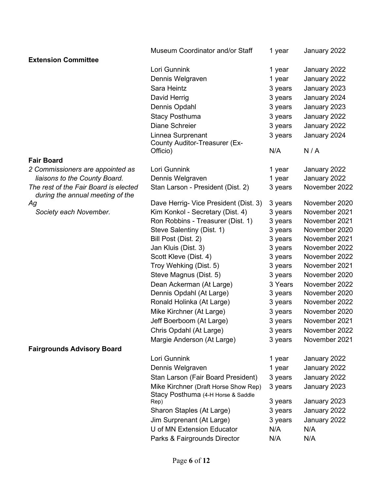|                                                                           | Museum Coordinator and/or Staff            | 1 year  | January 2022  |
|---------------------------------------------------------------------------|--------------------------------------------|---------|---------------|
| <b>Extension Committee</b>                                                |                                            |         |               |
|                                                                           | Lori Gunnink                               | 1 year  | January 2022  |
|                                                                           | Dennis Welgraven                           | 1 year  | January 2022  |
|                                                                           | Sara Heintz                                | 3 years | January 2023  |
|                                                                           | David Herrig                               | 3 years | January 2024  |
|                                                                           | Dennis Opdahl                              | 3 years | January 2023  |
|                                                                           | <b>Stacy Posthuma</b>                      | 3 years | January 2022  |
|                                                                           | Diane Schreier                             | 3 years | January 2022  |
|                                                                           | Linnea Surprenant                          | 3 years | January 2024  |
|                                                                           | <b>County Auditor-Treasurer (Ex-</b>       |         |               |
|                                                                           | Officio)                                   | N/A     | N/A           |
| <b>Fair Board</b>                                                         |                                            |         |               |
| 2 Commissioners are appointed as                                          | Lori Gunnink                               | 1 year  | January 2022  |
| liaisons to the County Board.                                             | Dennis Welgraven                           | 1 year  | January 2022  |
| The rest of the Fair Board is elected<br>during the annual meeting of the | Stan Larson - President (Dist. 2)          | 3 years | November 2022 |
| Ag                                                                        | Dave Herrig- Vice President (Dist. 3)      | 3 years | November 2020 |
| Society each November.                                                    | Kim Konkol - Secretary (Dist. 4)           | 3 years | November 2021 |
|                                                                           | Ron Robbins - Treasurer (Dist. 1)          | 3 years | November 2021 |
|                                                                           | Steve Salentiny (Dist. 1)                  | 3 years | November 2020 |
|                                                                           | Bill Post (Dist. 2)                        | 3 years | November 2021 |
|                                                                           | Jan Kluis (Dist. 3)                        | 3 years | November 2022 |
|                                                                           | Scott Kleve (Dist. 4)                      | 3 years | November 2022 |
|                                                                           | Troy Wehking (Dist. 5)                     | 3 years | November 2021 |
|                                                                           | Steve Magnus (Dist. 5)                     | 3 years | November 2020 |
|                                                                           | Dean Ackerman (At Large)                   | 3 Years | November 2022 |
|                                                                           | Dennis Opdahl (At Large)                   | 3 years | November 2020 |
|                                                                           | Ronald Holinka (At Large)                  | 3 years | November 2022 |
|                                                                           | Mike Kirchner (At Large)                   | 3 years | November 2020 |
|                                                                           | Jeff Boerboom (At Large)                   | 3 years | November 2021 |
|                                                                           | Chris Opdahl (At Large)                    | 3 years | November 2022 |
|                                                                           | Margie Anderson (At Large)                 | 3 years | November 2021 |
| <b>Fairgrounds Advisory Board</b>                                         |                                            |         |               |
|                                                                           | Lori Gunnink                               | 1 year  | January 2022  |
|                                                                           | Dennis Welgraven                           | 1 year  | January 2022  |
|                                                                           | Stan Larson (Fair Board President)         | 3 years | January 2022  |
|                                                                           | Mike Kirchner (Draft Horse Show Rep)       | 3 years | January 2023  |
|                                                                           | Stacy Posthuma (4-H Horse & Saddle<br>Rep) | 3 years | January 2023  |
|                                                                           | Sharon Staples (At Large)                  | 3 years | January 2022  |
|                                                                           | Jim Surprenant (At Large)                  | 3 years | January 2022  |
|                                                                           | U of MN Extension Educator                 | N/A     | N/A           |
|                                                                           | Parks & Fairgrounds Director               | N/A     | N/A           |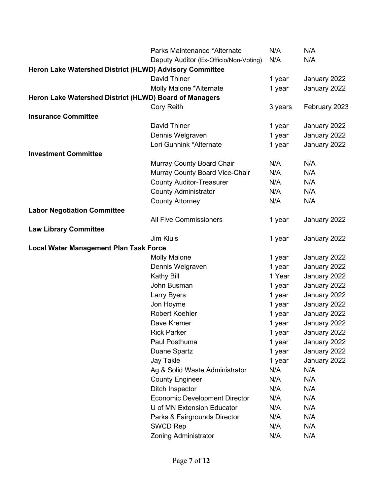|                                                         | Parks Maintenance *Alternate           | N/A     | N/A           |
|---------------------------------------------------------|----------------------------------------|---------|---------------|
|                                                         | Deputy Auditor (Ex-Officio/Non-Voting) | N/A     | N/A           |
| Heron Lake Watershed District (HLWD) Advisory Committee |                                        |         |               |
|                                                         | David Thiner                           | 1 year  | January 2022  |
|                                                         | Molly Malone *Alternate                | 1 year  | January 2022  |
| Heron Lake Watershed District (HLWD) Board of Managers  |                                        |         |               |
|                                                         | <b>Cory Reith</b>                      | 3 years | February 2023 |
| <b>Insurance Committee</b>                              |                                        |         |               |
|                                                         | David Thiner                           | 1 year  | January 2022  |
|                                                         | Dennis Welgraven                       | 1 year  | January 2022  |
|                                                         | Lori Gunnink *Alternate                | 1 year  | January 2022  |
| <b>Investment Committee</b>                             |                                        |         |               |
|                                                         | Murray County Board Chair              | N/A     | N/A           |
|                                                         | Murray County Board Vice-Chair         | N/A     | N/A           |
|                                                         | <b>County Auditor-Treasurer</b>        | N/A     | N/A           |
|                                                         | <b>County Administrator</b>            | N/A     | N/A           |
|                                                         | <b>County Attorney</b>                 | N/A     | N/A           |
| <b>Labor Negotiation Committee</b>                      |                                        |         |               |
|                                                         | <b>All Five Commissioners</b>          | 1 year  | January 2022  |
| <b>Law Library Committee</b>                            |                                        |         |               |
|                                                         | Jim Kluis                              | 1 year  | January 2022  |
| <b>Local Water Management Plan Task Force</b>           |                                        |         |               |
|                                                         | <b>Molly Malone</b>                    | 1 year  | January 2022  |
|                                                         | Dennis Welgraven                       | 1 year  | January 2022  |
|                                                         | <b>Kathy Bill</b>                      | 1 Year  | January 2022  |
|                                                         | John Busman                            | 1 year  | January 2022  |
|                                                         | <b>Larry Byers</b>                     | 1 year  | January 2022  |
|                                                         | Jon Hoyme                              | 1 year  | January 2022  |
|                                                         | <b>Robert Koehler</b>                  | 1 year  | January 2022  |
|                                                         | Dave Kremer                            | 1 year  | January 2022  |
|                                                         | <b>Rick Parker</b>                     | 1 year  | January 2022  |
|                                                         | Paul Posthuma                          | 1 year  | January 2022  |
|                                                         | Duane Spartz                           | 1 year  | January 2022  |
|                                                         | <b>Jay Takle</b>                       | 1 year  | January 2022  |
|                                                         | Ag & Solid Waste Administrator         | N/A     | N/A           |
|                                                         | <b>County Engineer</b>                 | N/A     | N/A           |
|                                                         | Ditch Inspector                        | N/A     | N/A           |
|                                                         | <b>Economic Development Director</b>   | N/A     | N/A           |
|                                                         | U of MN Extension Educator             | N/A     | N/A           |
|                                                         | Parks & Fairgrounds Director           | N/A     | N/A           |
|                                                         | <b>SWCD Rep</b>                        | N/A     | N/A           |
|                                                         | <b>Zoning Administrator</b>            | N/A     | N/A           |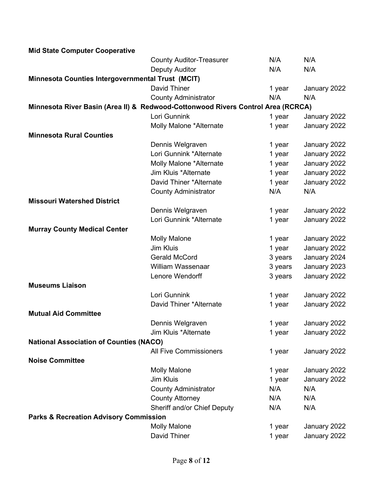| <b>Mid State Computer Cooperative</b>             |                                                                                  |         |              |
|---------------------------------------------------|----------------------------------------------------------------------------------|---------|--------------|
|                                                   | <b>County Auditor-Treasurer</b>                                                  | N/A     | N/A          |
|                                                   | <b>Deputy Auditor</b>                                                            | N/A     | N/A          |
| Minnesota Counties Intergovernmental Trust (MCIT) |                                                                                  |         |              |
|                                                   | David Thiner                                                                     | 1 year  | January 2022 |
|                                                   | <b>County Administrator</b>                                                      | N/A     | N/A          |
|                                                   | Minnesota River Basin (Area II) & Redwood-Cottonwood Rivers Control Area (RCRCA) |         |              |
|                                                   | Lori Gunnink                                                                     | 1 year  | January 2022 |
|                                                   | Molly Malone *Alternate                                                          | 1 year  | January 2022 |
| <b>Minnesota Rural Counties</b>                   |                                                                                  |         |              |
|                                                   | Dennis Welgraven                                                                 | 1 year  | January 2022 |
|                                                   | Lori Gunnink *Alternate                                                          | 1 year  | January 2022 |
|                                                   | Molly Malone *Alternate                                                          | 1 year  | January 2022 |
|                                                   | Jim Kluis *Alternate                                                             | 1 year  | January 2022 |
|                                                   | David Thiner *Alternate                                                          | 1 year  | January 2022 |
|                                                   | <b>County Administrator</b>                                                      | N/A     | N/A          |
| <b>Missouri Watershed District</b>                |                                                                                  |         |              |
|                                                   | Dennis Welgraven                                                                 | 1 year  | January 2022 |
|                                                   | Lori Gunnink *Alternate                                                          | 1 year  | January 2022 |
| <b>Murray County Medical Center</b>               |                                                                                  |         |              |
|                                                   | <b>Molly Malone</b>                                                              | 1 year  | January 2022 |
|                                                   | <b>Jim Kluis</b>                                                                 | 1 year  | January 2022 |
|                                                   | <b>Gerald McCord</b>                                                             | 3 years | January 2024 |
|                                                   | <b>William Wassenaar</b>                                                         | 3 years | January 2023 |
|                                                   | Lenore Wendorff                                                                  | 3 years | January 2022 |
| <b>Museums Liaison</b>                            |                                                                                  |         |              |
|                                                   | Lori Gunnink                                                                     | 1 year  | January 2022 |
|                                                   | David Thiner *Alternate                                                          | 1 year  | January 2022 |
| <b>Mutual Aid Committee</b>                       |                                                                                  |         |              |
|                                                   | Dennis Welgraven                                                                 | 1 year  | January 2022 |
|                                                   | Jim Kluis *Alternate                                                             | 1 year  | January 2022 |
| <b>National Association of Counties (NACO)</b>    |                                                                                  |         |              |
|                                                   | <b>All Five Commissioners</b>                                                    | 1 year  | January 2022 |
| <b>Noise Committee</b>                            |                                                                                  |         |              |
|                                                   | <b>Molly Malone</b>                                                              | 1 year  | January 2022 |
|                                                   | Jim Kluis                                                                        | 1 year  | January 2022 |
|                                                   | <b>County Administrator</b>                                                      | N/A     | N/A          |
|                                                   | <b>County Attorney</b>                                                           | N/A     | N/A          |
|                                                   | Sheriff and/or Chief Deputy                                                      | N/A     | N/A          |
| <b>Parks &amp; Recreation Advisory Commission</b> |                                                                                  |         |              |
|                                                   | <b>Molly Malone</b>                                                              | 1 year  | January 2022 |
|                                                   | David Thiner                                                                     | 1 year  | January 2022 |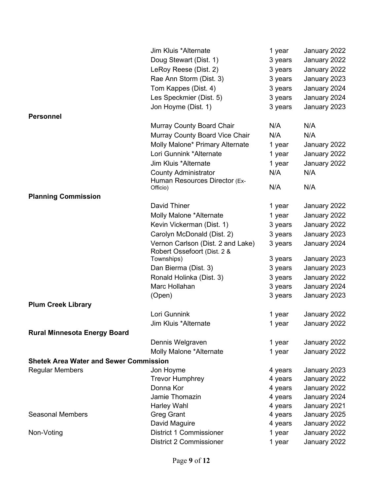|                                               | Jim Kluis *Alternate                                             | 1 year  | January 2022 |
|-----------------------------------------------|------------------------------------------------------------------|---------|--------------|
|                                               | Doug Stewart (Dist. 1)                                           | 3 years | January 2022 |
|                                               | LeRoy Reese (Dist. 2)                                            | 3 years | January 2022 |
|                                               | Rae Ann Storm (Dist. 3)                                          | 3 years | January 2023 |
|                                               | Tom Kappes (Dist. 4)                                             | 3 years | January 2024 |
|                                               | Les Speckmier (Dist. 5)                                          | 3 years | January 2024 |
|                                               | Jon Hoyme (Dist. 1)                                              | 3 years | January 2023 |
| <b>Personnel</b>                              |                                                                  |         |              |
|                                               | Murray County Board Chair                                        | N/A     | N/A          |
|                                               | Murray County Board Vice Chair                                   | N/A     | N/A          |
|                                               | Molly Malone* Primary Alternate                                  | 1 year  | January 2022 |
|                                               | Lori Gunnink *Alternate                                          | 1 year  | January 2022 |
|                                               | Jim Kluis *Alternate                                             | 1 year  | January 2022 |
|                                               | <b>County Administrator</b>                                      | N/A     | N/A          |
|                                               | Human Resources Director (Ex-                                    |         |              |
|                                               | Officio)                                                         | N/A     | N/A          |
| <b>Planning Commission</b>                    |                                                                  |         |              |
|                                               | David Thiner                                                     | 1 year  | January 2022 |
|                                               | Molly Malone *Alternate                                          | 1 year  | January 2022 |
|                                               | Kevin Vickerman (Dist. 1)                                        | 3 years | January 2022 |
|                                               | Carolyn McDonald (Dist. 2)                                       | 3 years | January 2023 |
|                                               | Vernon Carlson (Dist. 2 and Lake)<br>Robert Ossefoort (Dist. 2 & | 3 years | January 2024 |
|                                               | Townships)                                                       | 3 years | January 2023 |
|                                               | Dan Bierma (Dist. 3)                                             | 3 years | January 2023 |
|                                               | Ronald Holinka (Dist. 3)                                         | 3 years | January 2022 |
|                                               | Marc Hollahan                                                    | 3 years | January 2024 |
|                                               | (Open)                                                           | 3 years | January 2023 |
| <b>Plum Creek Library</b>                     |                                                                  |         |              |
|                                               | Lori Gunnink                                                     | 1 year  | January 2022 |
|                                               | Jim Kluis *Alternate                                             | 1 year  | January 2022 |
| <b>Rural Minnesota Energy Board</b>           |                                                                  |         |              |
|                                               | Dennis Welgraven                                                 | 1 year  | January 2022 |
|                                               | Molly Malone *Alternate                                          | 1 year  | January 2022 |
| <b>Shetek Area Water and Sewer Commission</b> |                                                                  |         |              |
| <b>Regular Members</b>                        | Jon Hoyme                                                        | 4 years | January 2023 |
|                                               | <b>Trevor Humphrey</b>                                           | 4 years | January 2022 |
|                                               | Donna Kor                                                        | 4 years | January 2022 |
|                                               | Jamie Thomazin                                                   | 4 years | January 2024 |
|                                               | Harley Wahl                                                      | 4 years | January 2021 |
| <b>Seasonal Members</b>                       | <b>Greg Grant</b>                                                | 4 years | January 2025 |
|                                               | David Maguire                                                    | 4 years | January 2022 |
| Non-Voting                                    | <b>District 1 Commissioner</b>                                   | 1 year  | January 2022 |
|                                               | <b>District 2 Commissioner</b>                                   | 1 year  | January 2022 |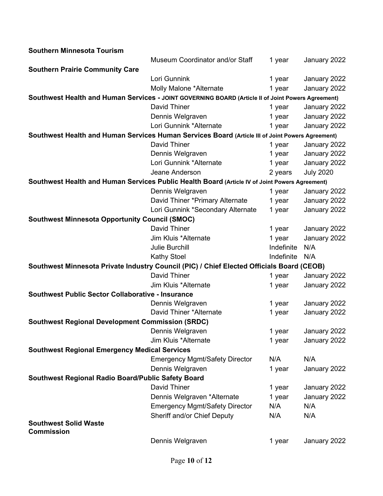| <b>Southern Minnesota Tourism</b>                                                                  |                                       |            |                  |
|----------------------------------------------------------------------------------------------------|---------------------------------------|------------|------------------|
|                                                                                                    | Museum Coordinator and/or Staff       | 1 year     | January 2022     |
| <b>Southern Prairie Community Care</b>                                                             |                                       |            |                  |
|                                                                                                    | Lori Gunnink                          | 1 year     | January 2022     |
|                                                                                                    | Molly Malone *Alternate               | 1 year     | January 2022     |
| Southwest Health and Human Services - JOINT GOVERNING BOARD (Article II of Joint Powers Agreement) |                                       |            |                  |
|                                                                                                    | David Thiner                          | 1 year     | January 2022     |
|                                                                                                    | Dennis Welgraven                      | 1 year     | January 2022     |
|                                                                                                    | Lori Gunnink *Alternate               | 1 year     | January 2022     |
| Southwest Health and Human Services Human Services Board (Article III of Joint Powers Agreement)   |                                       |            |                  |
|                                                                                                    | David Thiner                          | 1 year     | January 2022     |
|                                                                                                    | Dennis Welgraven                      | 1 year     | January 2022     |
|                                                                                                    | Lori Gunnink *Alternate               | 1 year     | January 2022     |
|                                                                                                    | Jeane Anderson                        | 2 years    | <b>July 2020</b> |
| Southwest Health and Human Services Public Health Board (Article IV of Joint Powers Agreement)     |                                       |            |                  |
|                                                                                                    | Dennis Welgraven                      | 1 year     | January 2022     |
|                                                                                                    | David Thiner *Primary Alternate       | 1 year     | January 2022     |
|                                                                                                    | Lori Gunnink *Secondary Alternate     | 1 year     | January 2022     |
| <b>Southwest Minnesota Opportunity Council (SMOC)</b>                                              |                                       |            |                  |
|                                                                                                    | David Thiner                          | 1 year     | January 2022     |
|                                                                                                    | Jim Kluis *Alternate                  | 1 year     | January 2022     |
|                                                                                                    | <b>Julie Burchill</b>                 | Indefinite | N/A              |
|                                                                                                    | <b>Kathy Stoel</b>                    | Indefinite | N/A              |
| Southwest Minnesota Private Industry Council (PIC) / Chief Elected Officials Board (CEOB)          |                                       |            |                  |
|                                                                                                    | David Thiner                          | 1 year     | January 2022     |
|                                                                                                    | Jim Kluis *Alternate                  | 1 year     | January 2022     |
| <b>Southwest Public Sector Collaborative - Insurance</b>                                           |                                       |            |                  |
|                                                                                                    | Dennis Welgraven                      | 1 year     | January 2022     |
|                                                                                                    | David Thiner *Alternate               | 1 year     | January 2022     |
| <b>Southwest Regional Development Commission (SRDC)</b>                                            |                                       |            |                  |
|                                                                                                    | Dennis Welgraven                      | 1 year     | January 2022     |
|                                                                                                    | Jim Kluis *Alternate                  | 1 year     | January 2022     |
| <b>Southwest Regional Emergency Medical Services</b>                                               |                                       |            |                  |
|                                                                                                    | <b>Emergency Mgmt/Safety Director</b> | N/A        | N/A              |
|                                                                                                    | Dennis Welgraven                      | 1 year     | January 2022     |
| Southwest Regional Radio Board/Public Safety Board                                                 |                                       |            |                  |
|                                                                                                    | David Thiner                          | 1 year     | January 2022     |
|                                                                                                    | Dennis Welgraven *Alternate           | 1 year     | January 2022     |
|                                                                                                    | <b>Emergency Mgmt/Safety Director</b> | N/A        | N/A              |
|                                                                                                    | Sheriff and/or Chief Deputy           | N/A        | N/A              |
| <b>Southwest Solid Waste</b>                                                                       |                                       |            |                  |
| <b>Commission</b>                                                                                  |                                       |            |                  |
|                                                                                                    | Dennis Welgraven                      | 1 year     | January 2022     |
|                                                                                                    |                                       |            |                  |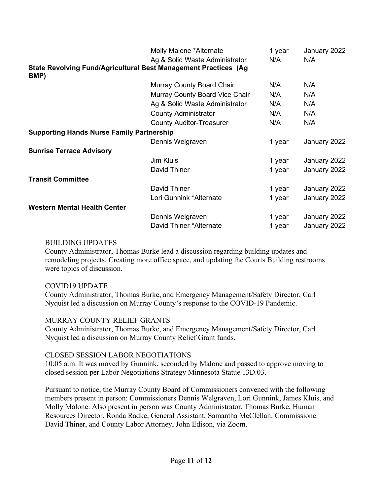|                                                                         | Molly Malone *Alternate         | 1 year | January 2022 |
|-------------------------------------------------------------------------|---------------------------------|--------|--------------|
|                                                                         | Ag & Solid Waste Administrator  | N/A    | N/A          |
| State Revolving Fund/Agricultural Best Management Practices (Ag<br>BMP) |                                 |        |              |
|                                                                         | Murray County Board Chair       | N/A    | N/A          |
|                                                                         | Murray County Board Vice Chair  | N/A    | N/A          |
|                                                                         | Ag & Solid Waste Administrator  | N/A    | N/A          |
|                                                                         | <b>County Administrator</b>     | N/A    | N/A          |
|                                                                         | <b>County Auditor-Treasurer</b> | N/A    | N/A          |
| <b>Supporting Hands Nurse Family Partnership</b>                        |                                 |        |              |
|                                                                         | Dennis Welgraven                | 1 year | January 2022 |
| <b>Sunrise Terrace Advisory</b>                                         |                                 |        |              |
|                                                                         | Jim Kluis                       | 1 year | January 2022 |
|                                                                         | David Thiner                    | 1 year | January 2022 |
| <b>Transit Committee</b>                                                |                                 |        |              |
|                                                                         | David Thiner                    | 1 year | January 2022 |
|                                                                         | Lori Gunnink *Alternate         | 1 year | January 2022 |
| <b>Western Mental Health Center</b>                                     |                                 |        |              |
|                                                                         | Dennis Welgraven                | 1 year | January 2022 |
|                                                                         | David Thiner *Alternate         | 1 year | January 2022 |

## BUILDING UPDATES

County Administrator, Thomas Burke lead a discussion regarding building updates and remodeling projects. Creating more office space, and updating the Courts Building restrooms were topics of discussion.

## COVID19 UPDATE

County Administrator, Thomas Burke, and Emergency Management/Safety Director, Carl Nyquist led a discussion on Murray County's response to the COVID-19 Pandemic.

## MURRAY COUNTY RELIEF GRANTS

County Administrator, Thomas Burke, and Emergency Management/Safety Director, Carl Nyquist led a discussion on Murray County Relief Grant funds.

### CLOSED SESSION LABOR NEGOTIATIONS

10:05 a.m. It was moved by Gunnink, seconded by Malone and passed to approve moving to closed session per Labor Negotiations Strategy Minnesota Statue 13D.03.

Pursuant to notice, the Murray County Board of Commissioners convened with the following members present in person: Commissioners Dennis Welgraven, Lori Gunnink, James Kluis, and Molly Malone. Also present in person was County Administrator, Thomas Burke, Human Resources Director, Ronda Radke, General Assistant, Samantha McClellan. Commissioner David Thiner, and County Labor Attorney, John Edison, via Zoom.